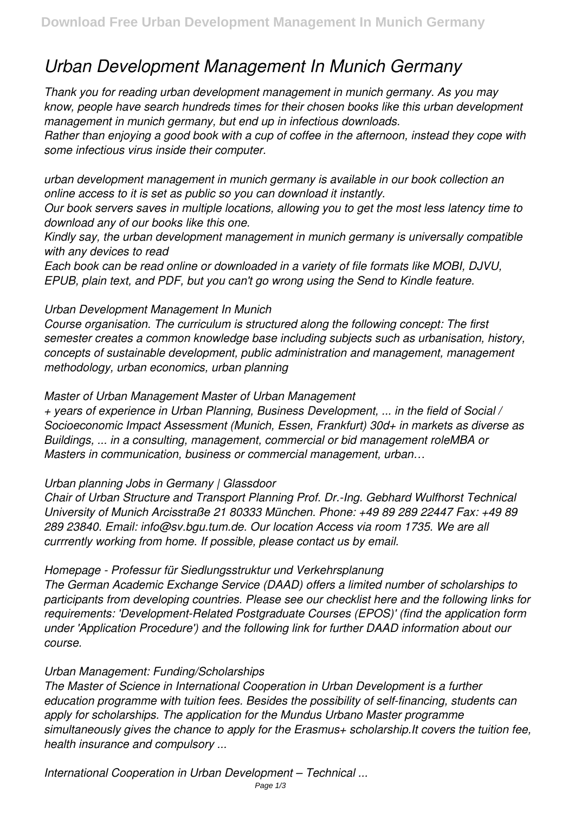# *Urban Development Management In Munich Germany*

*Thank you for reading urban development management in munich germany. As you may know, people have search hundreds times for their chosen books like this urban development management in munich germany, but end up in infectious downloads.*

*Rather than enjoying a good book with a cup of coffee in the afternoon, instead they cope with some infectious virus inside their computer.*

*urban development management in munich germany is available in our book collection an online access to it is set as public so you can download it instantly.*

*Our book servers saves in multiple locations, allowing you to get the most less latency time to download any of our books like this one.*

*Kindly say, the urban development management in munich germany is universally compatible with any devices to read*

*Each book can be read online or downloaded in a variety of file formats like MOBI, DJVU, EPUB, plain text, and PDF, but you can't go wrong using the Send to Kindle feature.*

# *Urban Development Management In Munich*

*Course organisation. The curriculum is structured along the following concept: The first semester creates a common knowledge base including subjects such as urbanisation, history, concepts of sustainable development, public administration and management, management methodology, urban economics, urban planning*

# *Master of Urban Management Master of Urban Management*

*+ years of experience in Urban Planning, Business Development, ... in the field of Social / Socioeconomic Impact Assessment (Munich, Essen, Frankfurt) 30d+ in markets as diverse as Buildings, ... in a consulting, management, commercial or bid management roleMBA or Masters in communication, business or commercial management, urban…*

## *Urban planning Jobs in Germany | Glassdoor*

*Chair of Urban Structure and Transport Planning Prof. Dr.-Ing. Gebhard Wulfhorst Technical University of Munich Arcisstraße 21 80333 München. Phone: +49 89 289 22447 Fax: +49 89 289 23840. Email: info@sv.bgu.tum.de. Our location Access via room 1735. We are all currrently working from home. If possible, please contact us by email.*

## *Homepage - Professur für Siedlungsstruktur und Verkehrsplanung*

*The German Academic Exchange Service (DAAD) offers a limited number of scholarships to participants from developing countries. Please see our checklist here and the following links for requirements: 'Development-Related Postgraduate Courses (EPOS)' (find the application form under 'Application Procedure') and the following link for further DAAD information about our course.*

## *Urban Management: Funding/Scholarships*

*The Master of Science in International Cooperation in Urban Development is a further education programme with tuition fees. Besides the possibility of self-financing, students can apply for scholarships. The application for the Mundus Urbano Master programme simultaneously gives the chance to apply for the Erasmus+ scholarship.It covers the tuition fee, health insurance and compulsory ...*

*International Cooperation in Urban Development – Technical ...*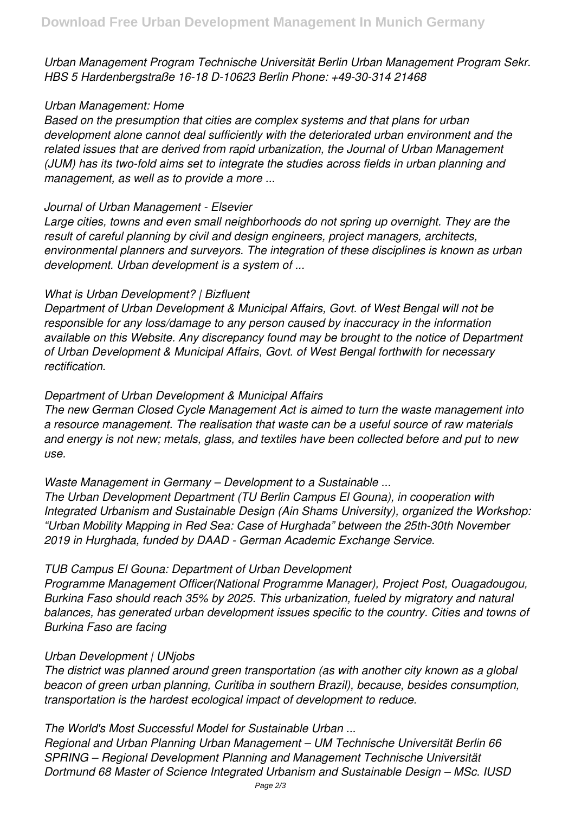*Urban Management Program Technische Universität Berlin Urban Management Program Sekr. HBS 5 Hardenbergstraße 16-18 D-10623 Berlin Phone: +49-30-314 21468*

#### *Urban Management: Home*

*Based on the presumption that cities are complex systems and that plans for urban development alone cannot deal sufficiently with the deteriorated urban environment and the related issues that are derived from rapid urbanization, the Journal of Urban Management (JUM) has its two-fold aims set to integrate the studies across fields in urban planning and management, as well as to provide a more ...*

#### *Journal of Urban Management - Elsevier*

*Large cities, towns and even small neighborhoods do not spring up overnight. They are the result of careful planning by civil and design engineers, project managers, architects, environmental planners and surveyors. The integration of these disciplines is known as urban development. Urban development is a system of ...*

## *What is Urban Development? | Bizfluent*

*Department of Urban Development & Municipal Affairs, Govt. of West Bengal will not be responsible for any loss/damage to any person caused by inaccuracy in the information available on this Website. Any discrepancy found may be brought to the notice of Department of Urban Development & Municipal Affairs, Govt. of West Bengal forthwith for necessary rectification.*

## *Department of Urban Development & Municipal Affairs*

*The new German Closed Cycle Management Act is aimed to turn the waste management into a resource management. The realisation that waste can be a useful source of raw materials and energy is not new; metals, glass, and textiles have been collected before and put to new use.*

*Waste Management in Germany – Development to a Sustainable ...*

*The Urban Development Department (TU Berlin Campus El Gouna), in cooperation with Integrated Urbanism and Sustainable Design (Ain Shams University), organized the Workshop: "Urban Mobility Mapping in Red Sea: Case of Hurghada" between the 25th-30th November 2019 in Hurghada, funded by DAAD - German Academic Exchange Service.*

## *TUB Campus El Gouna: Department of Urban Development*

*Programme Management Officer(National Programme Manager), Project Post, Ouagadougou, Burkina Faso should reach 35% by 2025. This urbanization, fueled by migratory and natural balances, has generated urban development issues specific to the country. Cities and towns of Burkina Faso are facing*

## *Urban Development | UNjobs*

*The district was planned around green transportation (as with another city known as a global beacon of green urban planning, Curitiba in southern Brazil), because, besides consumption, transportation is the hardest ecological impact of development to reduce.*

## *The World's Most Successful Model for Sustainable Urban ...*

*Regional and Urban Planning Urban Management – UM Technische Universität Berlin 66 SPRING – Regional Development Planning and Management Technische Universität Dortmund 68 Master of Science Integrated Urbanism and Sustainable Design – MSc. IUSD*